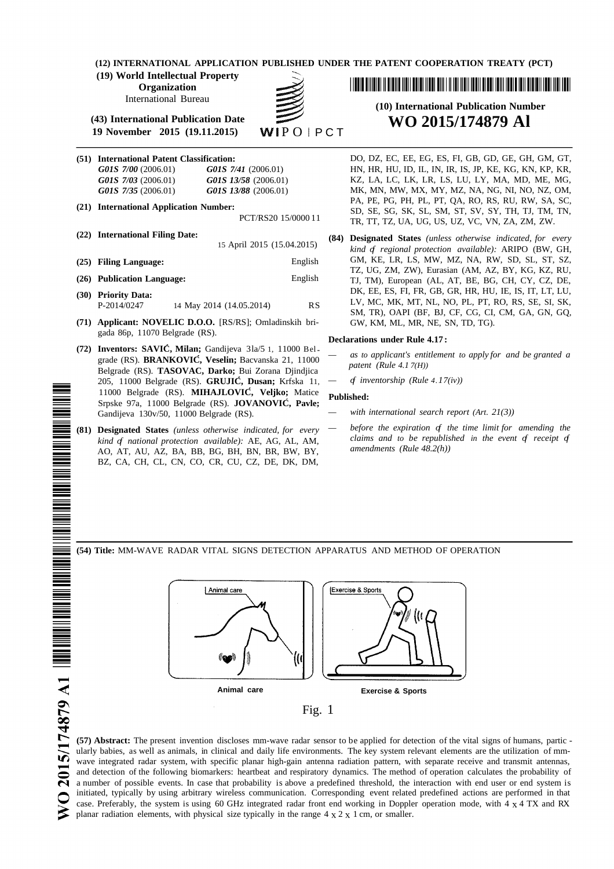**(12) INTERNATIONAL APPLICATION PUBLISHED UNDER THE PATENT COOPERATION TREATY (PCT)**

**(19) World Intellectual Property**

**Organization**

International Bureau

**(43) International Publication Date WO 2015/174879 Al 19** November **2015** (19.11.2015)

- 
- 
- 
- 
- 
- P-2014/0247 14 May 2014 (14.05.2014) RS
- **(71) Applicant: NOVELIC D.O.O.** [RS/RS]; Omladinskih brigada 86p, 11070 Belgrade (RS).
- (72) Inventors: SAVIĆ, Milan; Gandijeva  $3\frac{1a}{5}$  1, 11000 Bel-<br>creds (BS), **PPANKOVIĆ, Vesslin:** Bequandse 21, 11000 = as to applicant's entitlement to apply for and be granted a grade (RS). **BRANKOVIC, Veselin;** Bacvanska 21, 11000 *patent (Rule 4.1 7(H))* Belgrade (RS). **TASOVAC, Darko;** Bui Zorana Djindjica 205, 11000 Belgrade (RS). **GRUJIC, Dusan;** Krfska 11, *— of inventorship (Rule 4.17(iv))* <sup>1</sup><sup>1000</sup> Belgrade (RS). **MIHAJLOVIC, Veljko;** Matice **Published:** Srpske 97a, <sup>1</sup><sup>1000</sup> Belgrade (RS). **JOVANOVIC, Pavle;** Gandijeva 130v/50, 11000 Belgrade (RS). *— with international search report (Art. 21(3))*
- AO, AT, AU, AZ, BA, BB, BG, BH, BN, BR, BW, BY, *amendments (Rule 48.2(h))* BZ, CA, CH, CL, CN, CO, CR, CU, CZ, DE, DK, DM,

<u> 1 III DE DITILE II DE DE LETTE DE DITILE DE LE TERRE DE LE DE LE DE LE TERRE DE LE DE LE DE LE TERRE DE LE DE</u>

# **(10) International Publication Number**

**(51) International Patent Classification:** DO, DZ, EC, EE, EG, ES, FI, GB, GD, GE, GH, GM, GT, *G01S 7/00* (2006.01) *G01S 7/41* (2006.01) HN, HR, HU, ID, IL, IN, IR, IS, JP, KE, KG, KN, KP, KR, *G01S 7/03* (2006.01) *G01S 13/58* (2006.01) KZ, LA, LC, LK, LR, LS, LU, LY, MA, MD, ME, MG, *G01S 7/35* (2006.01) *G01S 13/88* (2006.01) MK, MN, MW, MX, MY, MZ, NA, NG, NI, NO, NZ, OM, PA, PE, PG, PH, PL, PT, QA, RO, RS, RU, RW, SA, SC, **(21) International Application Number:** SD, SE, SG, SK, SL, SM, ST, SV, SY, TH, TJ, TM, TN, TR, TT, TZ, UA, UG, US, UZ, VC, VN, ZA, ZM, ZW.

**(22) International Filing Date: (84) Designated States** *(unless otherwise indicated, for every* <sup>15</sup> April <sup>2015</sup> (15.04.2015) *kind of regional protection available):* ARIPO (BW, GH, **(25) Filing Language:** English GM, KE, LR, LS, MW, MZ, NA, RW, SD, SL, ST, SZ, TZ, UG, ZM, ZW), Eurasian (AM, AZ, BY, KG, KZ, RU, **(26) Publication Language:** English TJ, TM), European (AL, AT, BE, BG, CH, CY, CZ, DE, **(30) Priority Data:** DK, EE, ES, FI, FR, GB, GR, HR, HU, IE, IS, IT, LT, LU, LV, MC, MK, MT, NL, NO, PL, PT, RO, RS, SE, SI, SK, SM, TR), OAPI (BF, BJ, CF, CG, CI, CM, GA, GN, GQ,

#### **Declarations under Rule 4.17 :**

- 
- 

- 
- (81) Designated States (unless otherwise indicated, for every  $-$  before the expiration of the time limit for amending the *kind of a ational protection available):* AE, AG, AL, AM, *claims* and *to be republished in the event of receipt of*  $\Delta O$   $\Delta T$ ,  $\Delta I$ ,  $\Delta Z$ ,  $\Delta R$ ,  $\Delta R$ ,  $\Delta R$ ,  $\Delta R$ ,  $\Delta R$ ,  $\Delta R$ ,  $\Delta R$

**(54) Title:** MM-WAVE RADAR VITAL SIGNS DETECTION APPARATUS AND METHOD OF OPERATION



**(57) Abstract:** The present invention discloses mm-wave radar sensor to be applied for detection of the vital signs of humans, partic ularly babies, as well as animals, in clinical and daily life environments. The key system relevant elements are the utilization of mmwave integrated radar system, with specific planar high-gain antenna radiation pattern, with separate receive and transmit antennas, and detection of the following biomarkers: heartbeat and respiratory dynamics. The method of operation calculates the probability of a number of possible events. In case that probability is above a predefined threshold, the interaction with end user or end system is initiated, typically by using arbitrary wireless communication. Corresponding event related predefined actions are performed in that case. Preferably, the system is using 60 GHz integrated radar front end working in Doppler operation mode, with 4 x 4 TX and RX planar radiation elements, with physical size typically in the range  $4 \times 2 \times 1$  cm, or smaller.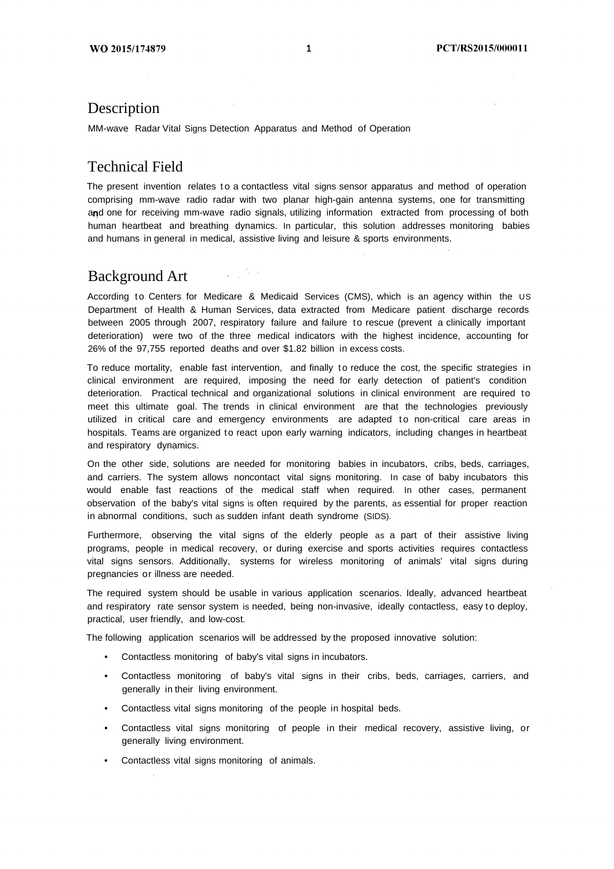#### Description

MM-wave Radar Vital Signs Detection Apparatus and Method of Operation

 $\frac{1}{2} \frac{1}{2} \frac{d^2 \phi}{d\phi^2}$  ,  $\frac{1}{2} \frac{d^2 \phi}{d\phi^2}$ 

#### Technical Field

The present invention relates to a contactless vital signs sensor apparatus and method of operation comprising mm-wave radio radar with two planar high-gain antenna systems, one for transmitting and one for receiving mm-wave radio signals, utilizing information extracted from processing of both human heartbeat and breathing dynamics. In particular, this solution addresses monitoring babies and humans in general in medical, assistive living and leisure & sports environments.

#### Background Art

According to Centers for Medicare & Medicaid Services (CMS), which is an agency within the US Department of Health & Human Services, data extracted from Medicare patient discharge records between 2005 through 2007, respiratory failure and failure to rescue (prevent a clinically important deterioration) were two of the three medical indicators with the highest incidence, accounting for 26% of the 97,755 reported deaths and over \$1.82 billion in excess costs.

To reduce mortality, enable fast intervention, and finally to reduce the cost, the specific strategies in clinical environment are required, imposing the need for early detection of patient's condition deterioration. Practical technical and organizational solutions in clinical environment are required to meet this ultimate goal. The trends in clinical environment are that the technologies previously utilized in critical care and emergency environments are adapted to non-critical care areas in hospitals. Teams are organized to react upon early warning indicators, including changes in heartbeat and respiratory dynamics.

On the other side, solutions are needed for monitoring babies in incubators, cribs, beds, carriages, and carriers. The system allows noncontact vital signs monitoring. In case of baby incubators this would enable fast reactions of the medical staff when required. In other cases, permanent observation of the baby's vital signs is often required by the parents, as essential for proper reaction in abnormal conditions, such as sudden infant death syndrome (SIDS).

Furthermore, observing the vital signs of the elderly people as a part of their assistive living programs, people in medical recovery, or during exercise and sports activities requires contactless vital signs sensors. Additionally, systems for wireless monitoring of animals' vital signs during pregnancies or illness are needed.

The required system should be usable in various application scenarios. Ideally, advanced heartbeat and respiratory rate sensor system is needed, being non-invasive, ideally contactless, easy to deploy, practical, user friendly, and low-cost.

The following application scenarios will be addressed by the proposed innovative solution:

- Contactless monitoring of baby's vital signs in incubators.
- Contactless monitoring of baby's vital signs in their cribs, beds, carriages, carriers, and generally in their living environment.
- Contactless vital signs monitoring of the people in hospital beds.
- Contactless vital signs monitoring of people in their medical recovery, assistive living, or generally living environment.
- Contactless vital signs monitoring of animals.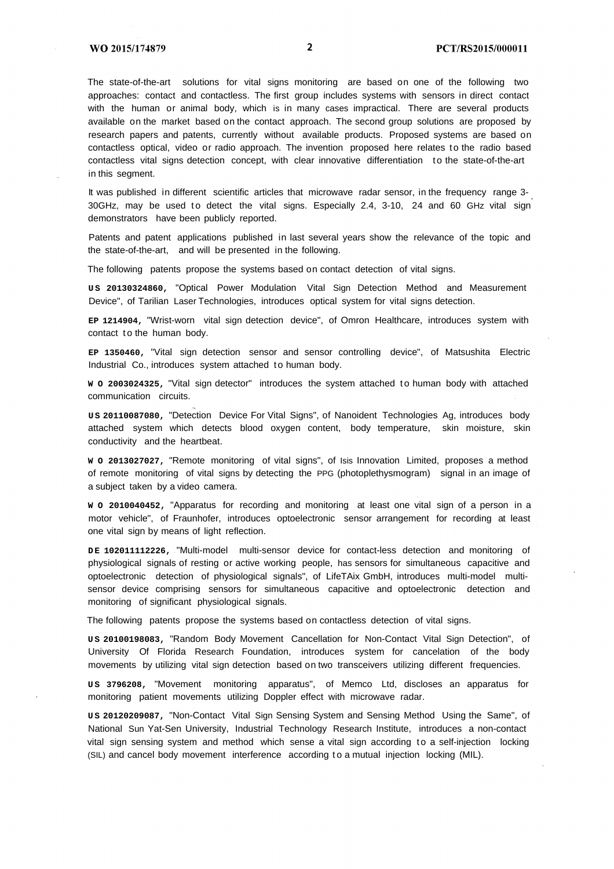The state-of-the-art solutions for vital signs monitoring are based on one of the following two approaches: contact and contactless. The first group includes systems with sensors in direct contact with the human or animal body, which is in many cases impractical. There are several products available on the market based on the contact approach. The second group solutions are proposed by research papers and patents, currently without available products. Proposed systems are based on contactless optical, video or radio approach. The invention proposed here relates to the radio based contactless vital signs detection concept, with clear innovative differentiation to the state-of-the-art in this segment.

It was published in different scientific articles that microwave radar sensor, in the frequency range 3-30GHz, may be used to detect the vital signs. Especially 2.4, 3-10, 24 and 60 GHz vital sign demonstrators have been publicly reported.

Patents and patent applications published in last several years show the relevance of the topic and the state-of-the-art, and will be presented in the following.

The following patents propose the systems based on contact detection of vital signs.

**U S 20130324860,** "Optical Power Modulation Vital Sign Detection Method and Measurement Device", of Tarilian Laser Technologies, introduces optical system for vital signs detection.

**EP 1214904,** "Wrist-worn vital sign detection device", of Omron Healthcare, introduces system with contact to the human body.

**EP 1350460,** "Vital sign detection sensor and sensor controlling device", of Matsushita Electric Industrial Co., introduces system attached to human body.

**W O 2003024325,** "Vital sign detector" introduces the system attached t o human body with attached communication circuits.

**U S 20110087080,** "Detection Device For Vital Signs", of Nanoident Technologies Ag, introduces body attached system which detects blood oxygen content, body temperature, skin moisture, skin conductivity and the heartbeat.

**W O 2013027027,** "Remote monitoring of vital signs", of Isis Innovation Limited, proposes a method of remote monitoring of vital signs by detecting the PPG (photoplethysmogram) signal in an image of a subject taken by a video camera.

**W O 2010040452,** "Apparatus for recording and monitoring at least one vital sign of a person in a motor vehicle", of Fraunhofer, introduces optoelectronic sensor arrangement for recording at least one vital sign by means of light reflection.

**D E 102011112226,** "Multi-model multi-sensor device for contact-less detection and monitoring of physiological signals of resting or active working people, has sensors for simultaneous capacitive and optoelectronic detection of physiological signals", of LifeTAix GmbH, introduces multi-model multisensor device comprising sensors for simultaneous capacitive and optoelectronic detection and monitoring of significant physiological signals.

The following patents propose the systems based on contactless detection of vital signs.

**U S 20100198083,** "Random Body Movement Cancellation for Non-Contact Vital Sign Detection", of University Of Florida Research Foundation, introduces system for cancelation of the body movements by utilizing vital sign detection based on two transceivers utilizing different frequencies.

**U S 3796208,** "Movement monitoring apparatus", of Memco Ltd, discloses an apparatus for monitoring patient movements utilizing Doppler effect with microwave radar.

**U S 20120209087,** "Non-Contact Vital Sign Sensing System and Sensing Method Using the Same", of National Sun Yat-Sen University, Industrial Technology Research Institute, introduces a non-contact vital sign sensing system and method which sense a vital sign according to a self-injection locking (SIL) and cancel body movement interference according to a mutual injection locking (MIL).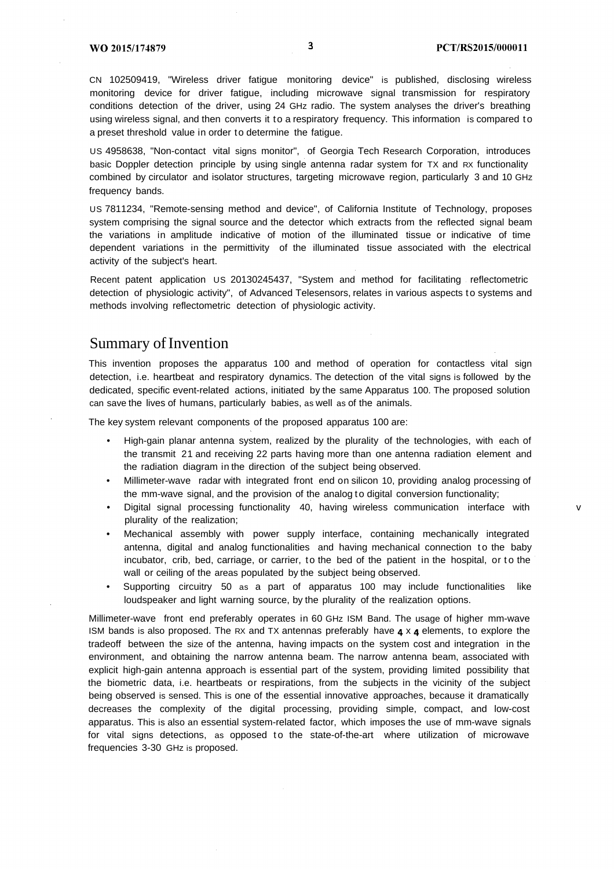CN 102509419, "Wireless driver fatigue monitoring device" is published, disclosing wireless monitoring device for driver fatigue, including microwave signal transmission for respiratory conditions detection of the driver, using 24 GHz radio. The system analyses the driver's breathing using wireless signal, and then converts it to a respiratory frequency. This information is compared to a preset threshold value in order to determine the fatigue.

US 4958638, "Non-contact vital signs monitor", of Georgia Tech Research Corporation, introduces basic Doppler detection principle by using single antenna radar system for TX and RX functionality combined by circulator and isolator structures, targeting microwave region, particularly 3 and 10 GHz frequency bands.

US 7811234, "Remote-sensing method and device", of California Institute of Technology, proposes system comprising the signal source and the detector which extracts from the reflected signal beam the variations in amplitude indicative of motion of the illuminated tissue or indicative of time dependent variations in the permittivity of the illuminated tissue associated with the electrical activity of the subject's heart.

Recent patent application US 20130245437, "System and method for facilitating reflectometric detection of physiologic activity", of Advanced Telesensors, relates in various aspects to systems and methods involving reflectometric detection of physiologic activity.

#### Summary of Invention

This invention proposes the apparatus 100 and method of operation for contactless vital sign detection, i.e. heartbeat and respiratory dynamics. The detection of the vital signs is followed by the dedicated, specific event-related actions, initiated by the same Apparatus 100. The proposed solution can save the lives of humans, particularly babies, as well as of the animals.

The key system relevant components of the proposed apparatus 100 are:

- High-gain planar antenna system, realized by the plurality of the technologies, with each of the transmit 21 and receiving 22 parts having more than one antenna radiation element and the radiation diagram in the direction of the subject being observed.
- Millimeter-wave radar with integrated front end on silicon 10, providing analog processing of the mm-wave signal, and the provision of the analog to digital conversion functionality;
- Digital signal processing functionality 40, having wireless communication interface with v plurality of the realization;
- Mechanical assembly with power supply interface, containing mechanically integrated antenna, digital and analog functionalities and having mechanical connection to the baby incubator, crib, bed, carriage, or carrier, to the bed of the patient in the hospital, or to the wall or ceiling of the areas populated by the subject being observed.
- Supporting circuitry 50 as a part of apparatus 100 may include functionalities like loudspeaker and light warning source, by the plurality of the realization options.

Millimeter-wave front end preferably operates in 60 GHz ISM Band. The usage of higher mm-wave ISM bands is also proposed. The RX and TX antennas preferably have  $4 \times 4$  elements, to explore the tradeoff between the size of the antenna, having impacts on the system cost and integration in the environment, and obtaining the narrow antenna beam. The narrow antenna beam, associated with explicit high-gain antenna approach is essential part of the system, providing limited possibility that the biometric data, i.e. heartbeats or respirations, from the subjects in the vicinity of the subject being observed is sensed. This is one of the essential innovative approaches, because it dramatically decreases the complexity of the digital processing, providing simple, compact, and low-cost apparatus. This is also an essential system-related factor, which imposes the use of mm-wave signals for vital signs detections, as opposed to the state-of-the-art where utilization of microwave frequencies 3-30 GHz is proposed.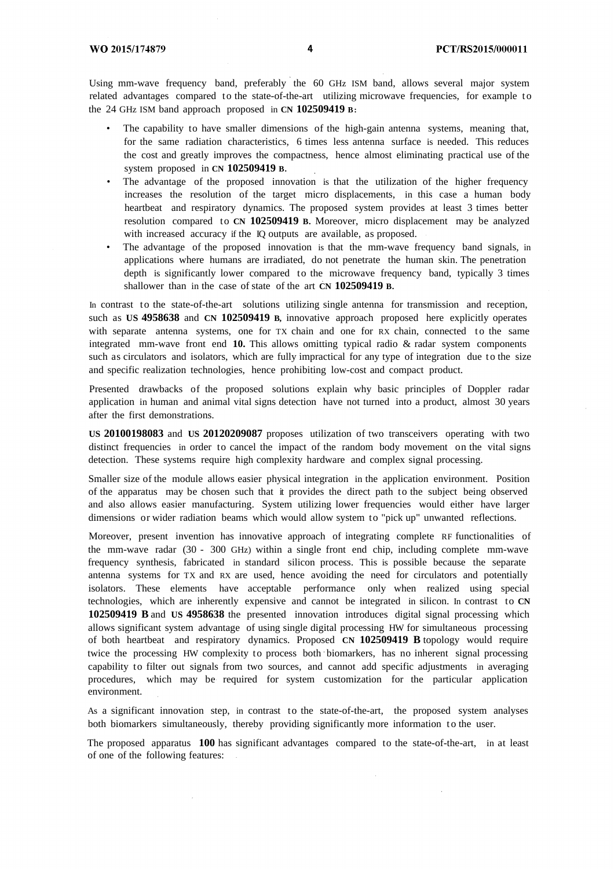Using mm-wave frequency band, preferably the 60 GHz ISM band, allows several major system related advantages compared to the state-of-the-art utilizing microwave frequencies, for example to the 24 GHz ISM band approach proposed in **CN 102509419 B:**

- The capability to have smaller dimensions of the high-gain antenna systems, meaning that, for the same radiation characteristics, 6 times less antenna surface is needed. This reduces the cost and greatly improves the compactness, hence almost eliminating practical use of the system proposed in **CN 102509419 B.**
- The advantage of the proposed innovation is that the utilization of the higher frequency increases the resolution of the target micro displacements, in this case a human body heartbeat and respiratory dynamics. The proposed system provides at least 3 times better resolution compared to **CN 102509419 B.** Moreover, micro displacement may be analyzed with increased accuracy if the IQ outputs are available, as proposed.
- The advantage of the proposed innovation is that the mm-wave frequency band signals, in applications where humans are irradiated, do not penetrate the human skin. The penetration depth is significantly lower compared to the microwave frequency band, typically 3 times shallower than in the case of state of the art **CN 102509419 B.**

In contrast to the state-of-the-art solutions utilizing single antenna for transmission and reception, such as **US 4958638** and **CN 102509419 B,** innovative approach proposed here explicitly operates with separate antenna systems, one for TX chain and one for RX chain, connected to the same integrated mm-wave front end **10.** This allows omitting typical radio & radar system components such as circulators and isolators, which are fully impractical for any type of integration due to the size and specific realization technologies, hence prohibiting low-cost and compact product.

Presented drawbacks of the proposed solutions explain why basic principles of Doppler radar application in human and animal vital signs detection have not turned into a product, almost 30 years after the first demonstrations.

**US 20100198083** and **US 20120209087** proposes utilization of two transceivers operating with two distinct frequencies in order to cancel the impact of the random body movement on the vital signs detection. These systems require high complexity hardware and complex signal processing.

Smaller size of the module allows easier physical integration in the application environment. Position of the apparatus may be chosen such that it provides the direct path to the subject being observed and also allows easier manufacturing. System utilizing lower frequencies would either have larger dimensions or wider radiation beams which would allow system to "pick up" unwanted reflections.

Moreover, present invention has innovative approach of integrating complete RF functionalities of the mm-wave radar (30 - 300 GHz) within a single front end chip, including complete mm-wave frequency synthesis, fabricated in standard silicon process. This is possible because the separate antenna systems for TX and RX are used, hence avoiding the need for circulators and potentially isolators. These elements have acceptable performance only when realized using special technologies, which are inherently expensive and cannot be integrated in silicon. In contrast to **CN 102509419 B** and **US 4958638** the presented innovation introduces digital signal processing which allows significant system advantage of using single digital processing HW for simultaneous processing of both heartbeat and respiratory dynamics. Proposed **CN 102509419 B** topology would require twice the processing HW complexity to process both biomarkers, has no inherent signal processing capability to filter out signals from two sources, and cannot add specific adjustments in averaging procedures, which may be required for system customization for the particular application environment.

As a significant innovation step, in contrast to the state-of-the-art, the proposed system analyses both biomarkers simultaneously, thereby providing significantly more information to the user.

The proposed apparatus **100** has significant advantages compared to the state-of-the-art, in at least of one of the following features: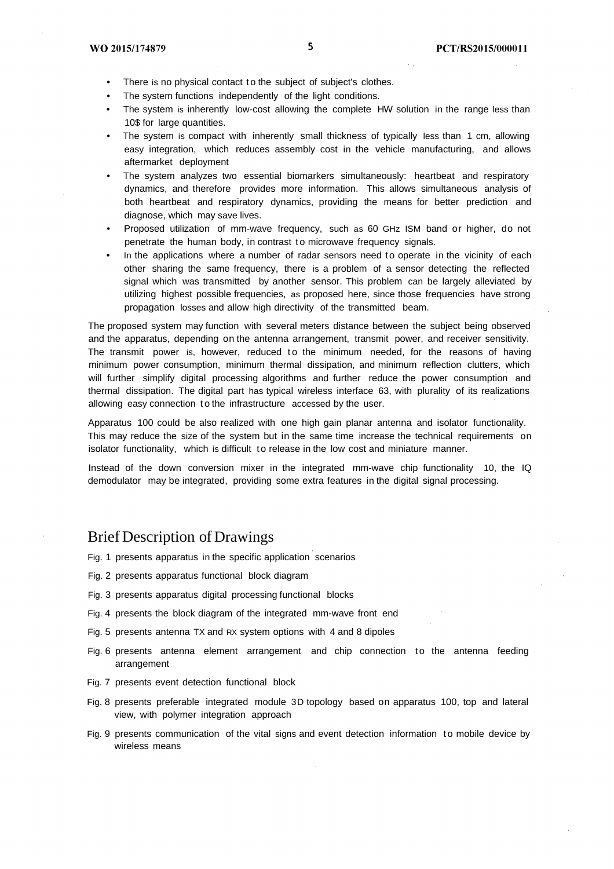- There is no physical contact to the subject of subject's clothes.
- The system functions independently of the light conditions.
- The system is inherently low-cost allowing the complete HW solution in the range less than 10\$ for large quantities.
- The system is compact with inherently small thickness of typically less than 1 cm, allowing easy integration, which reduces assembly cost in the vehicle manufacturing, and allows aftermarket deployment
- The system analyzes two essential biomarkers simultaneously: heartbeat and respiratory dynamics, and therefore provides more information. This allows simultaneous analysis of both heartbeat and respiratory dynamics, providing the means for better prediction and diagnose, which may save lives.
- Proposed utilization of mm-wave frequency, such as 60 GHz ISM band or higher, do not penetrate the human body, in contrast to microwave frequency signals.
- In the applications where a number of radar sensors need to operate in the vicinity of each other sharing the same frequency, there is a problem of a sensor detecting the reflected signal which was transmitted by another sensor. This problem can be largely alleviated by utilizing highest possible frequencies, as proposed here, since those frequencies have strong propagation losses and allow high directivity of the transmitted beam.

The proposed system may function with several meters distance between the subject being observed and the apparatus, depending on the antenna arrangement, transmit power, and receiver sensitivity. The transmit power is, however, reduced to the minimum needed, for the reasons of having minimum power consumption, minimum thermal dissipation, and minimum reflection clutters, which will further simplify digital processing algorithms and further reduce the power consumption and thermal dissipation. The digital part has typical wireless interface 63, with plurality of its realizations allowing easy connection to the infrastructure accessed by the user.

Apparatus 100 could be also realized with one high gain planar antenna and isolator functionality. This may reduce the size of the system but in the same time increase the technical requirements on isolator functionality, which is difficult to release in the low cost and miniature manner.

Instead of the down conversion mixer in the integrated mm-wave chip functionality 10, the IQ demodulator may be integrated, providing some extra features in the digital signal processing.

#### Brief Description of Drawings

- Fig. 1 presents apparatus in the specific application scenarios
- Fig. 2 presents apparatus functional block diagram
- Fig. 3 presents apparatus digital processing functional blocks
- Fig. 4 presents the block diagram of the integrated mm-wave front end
- Fig. 5 presents antenna TX and RX system options with 4 and 8 dipoles
- Fig. 6 presents antenna element arrangement and chip connection to the antenna feeding arrangement
- Fig. 7 presents event detection functional block
- Fig. 8 presents preferable integrated module 3D topology based on apparatus 100, top and lateral view, with polymer integration approach
- Fig. 9 presents communication of the vital signs and event detection information to mobile device by wireless means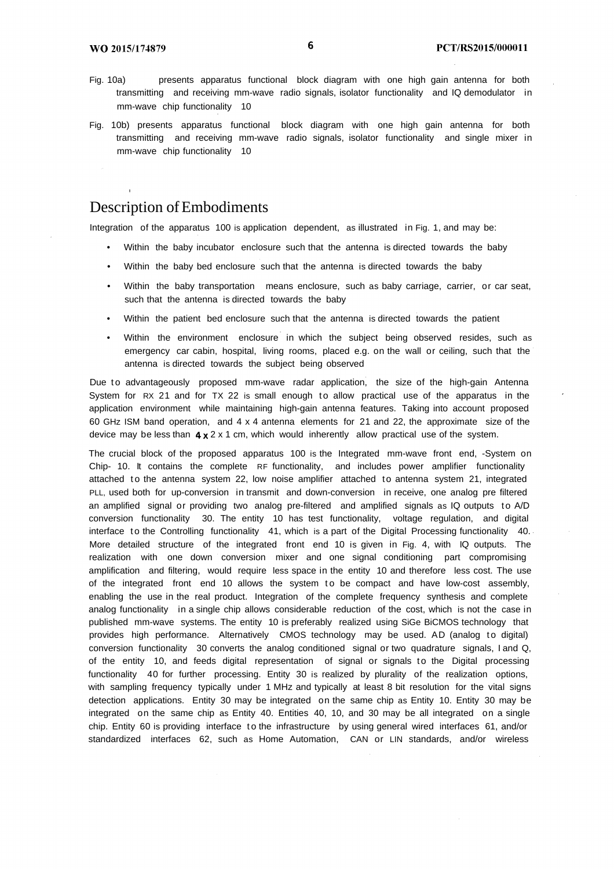- Fig. 10a) presents apparatus functional block diagram with one high gain antenna for both transmitting and receiving mm-wave radio signals, isolator functionality and IQ demodulator in mm-wave chip functionality 10
- Fig. 10b) presents apparatus functional block diagram with one high gain antenna for both transmitting and receiving mm-wave radio signals, isolator functionality and single mixer in mm-wave chip functionality 10

#### Description of Embodiments

Integration of the apparatus 100 is application dependent, as illustrated in Fig. 1, and may be:

- Within the baby incubator enclosure such that the antenna is directed towards the baby
- Within the baby bed enclosure such that the antenna is directed towards the baby
- Within the baby transportation means enclosure, such as baby carriage, carrier, or car seat, such that the antenna is directed towards the baby
- Within the patient bed enclosure such that the antenna is directed towards the patient
- Within the environment enclosure in which the subject being observed resides, such as emergency car cabin, hospital, living rooms, placed e.g. on the wall or ceiling, such that the antenna is directed towards the subject being observed

Due to advantageously proposed mm-wave radar application, the size of the high-gain Antenna System for RX 21 and for TX 22 is small enough to allow practical use of the apparatus in the application environment while maintaining high-gain antenna features. Taking into account proposed 60 GHz ISM band operation, and 4 x 4 antenna elements for 21 and 22, the approximate size of the device may be less than  $4 \times 2 \times 1$  cm, which would inherently allow practical use of the system.

The crucial block of the proposed apparatus 100 is the Integrated mm-wave front end, -System on Chip- 10. It contains the complete RF functionality, and includes power amplifier functionality attached to the antenna system 22, low noise amplifier attached to antenna system 21, integrated PLL, used both for up-conversion in transmit and down-conversion in receive, one analog pre filtered an amplified signal or providing two analog pre-filtered and amplified signals as IQ outputs to A/D conversion functionality 30. The entity 10 has test functionality, voltage regulation, and digital interface to the Controlling functionality 41, which is a part of the Digital Processing functionality  $40.4$ More detailed structure of the integrated front end 10 is given in Fig. 4, with IQ outputs. The realization with one down conversion mixer and one signal conditioning part compromising amplification and filtering, would require less space in the entity 10 and therefore less cost. The use of the integrated front end 10 allows the system to be compact and have low-cost assembly, enabling the use in the real product. Integration of the complete frequency synthesis and complete analog functionality in a single chip allows considerable reduction of the cost, which is not the case in published mm-wave systems. The entity 10 is preferably realized using SiGe BiCMOS technology that provides high performance. Alternatively CMOS technology may be used. AD (analog to digital) conversion functionality 30 converts the analog conditioned signal or two quadrature signals, I and Q, of the entity 10, and feeds digital representation of signal or signals to the Digital processing functionality 40 for further processing. Entity 30 is realized by plurality of the realization options, with sampling frequency typically under 1 MHz and typically at least 8 bit resolution for the vital signs detection applications. Entity 30 may be integrated on the same chip as Entity 10. Entity 30 may be integrated on the same chip as Entity 40. Entities 40, 10, and 30 may be all integrated on a single chip. Entity 60 is providing interface to the infrastructure by using general wired interfaces 61, and/or standardized interfaces 62, such as Home Automation, CAN or LIN standards, and/or wireless

6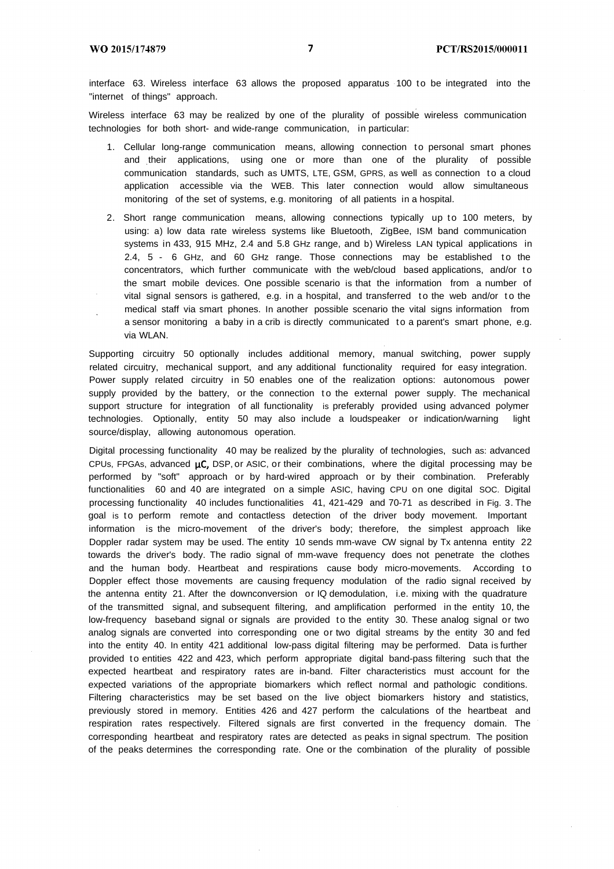interface 63. Wireless interface 63 allows the proposed apparatus 100 to be integrated into the "internet of things" approach.

Wireless interface 63 may be realized by one of the plurality of possible wireless communication technologies for both short- and wide-range communication, in particular:

- 1. Cellular long-range communication means, allowing connection to personal smart phones and their applications, using one or more than one of the plurality of possible communication standards, such as UMTS, LTE, GSM, GPRS, as well as connection to a cloud application accessible via the WEB. This later connection would allow simultaneous monitoring of the set of systems, e.g. monitoring of all patients in a hospital.
- 2. Short range communication means, allowing connections typically up to 100 meters, by using: a) low data rate wireless systems like Bluetooth, ZigBee, ISM band communication systems in 433, 915 MHz, 2.4 and 5.8 GHz range, and b) Wireless LAN typical applications in 2.4,  $5 - 6$  GHz, and 60 GHz range. Those connections may be established to the concentrators, which further communicate with the web/cloud based applications, and/or to the smart mobile devices. One possible scenario is that the information from a number of vital signal sensors is gathered, e.g. in a hospital, and transferred to the web and/or to the medical staff via smart phones. In another possible scenario the vital signs information from a sensor monitoring a baby in a crib is directly communicated to a parent's smart phone, e.g. via WLAN.

Supporting circuitry 50 optionally includes additional memory, manual switching, power supply related circuitry, mechanical support, and any additional functionality required for easy integration. Power supply related circuitry in 50 enables one of the realization options: autonomous power supply provided by the battery, or the connection to the external power supply. The mechanical support structure for integration of all functionality is preferably provided using advanced polymer technologies. Optionally, entity 50 may also include a loudspeaker or indication/warning light source/display, allowing autonomous operation.

Digital processing functionality 40 may be realized by the plurality of technologies, such as: advanced CPUs, FPGAs, advanced  $\mu C$ , DSP, or ASIC, or their combinations, where the digital processing may be performed by "soft" approach or by hard-wired approach or by their combination. Preferably functionalities 60 and 40 are integrated on a simple ASIC, having CPU on one digital SOC. Digital processing functionality 40 includes functionalities 41, 421-429 and 70-71 as described in Fig. 3. The goal is to perform remote and contactless detection of the driver body movement. Important information is the micro-movement of the driver's body; therefore, the simplest approach like Doppler radar system may be used. The entity 10 sends mm-wave CW signal by Tx antenna entity 22 towards the driver's body. The radio signal of mm-wave frequency does not penetrate the clothes and the human body. Heartbeat and respirations cause body micro-movements. According to Doppler effect those movements are causing frequency modulation of the radio signal received by the antenna entity 21. After the downconversion or IQ demodulation, i.e. mixing with the quadrature of the transmitted signal, and subsequent filtering, and amplification performed in the entity 10, the low-frequency baseband signal or signals are provided to the entity 30. These analog signal or two analog signals are converted into corresponding one or two digital streams by the entity 30 and fed into the entity 40. In entity 421 additional low-pass digital filtering may be performed. Data is further provided to entities 422 and 423, which perform appropriate digital band-pass filtering such that the expected heartbeat and respiratory rates are in-band. Filter characteristics must account for the expected variations of the appropriate biomarkers which reflect normal and pathologic conditions. Filtering characteristics may be set based on the live object biomarkers history and statistics, previously stored in memory. Entities 426 and 427 perform the calculations of the heartbeat and respiration rates respectively. Filtered signals are first converted in the frequency domain. The corresponding heartbeat and respiratory rates are detected as peaks in signal spectrum. The position of the peaks determines the corresponding rate. One or the combination of the plurality of possible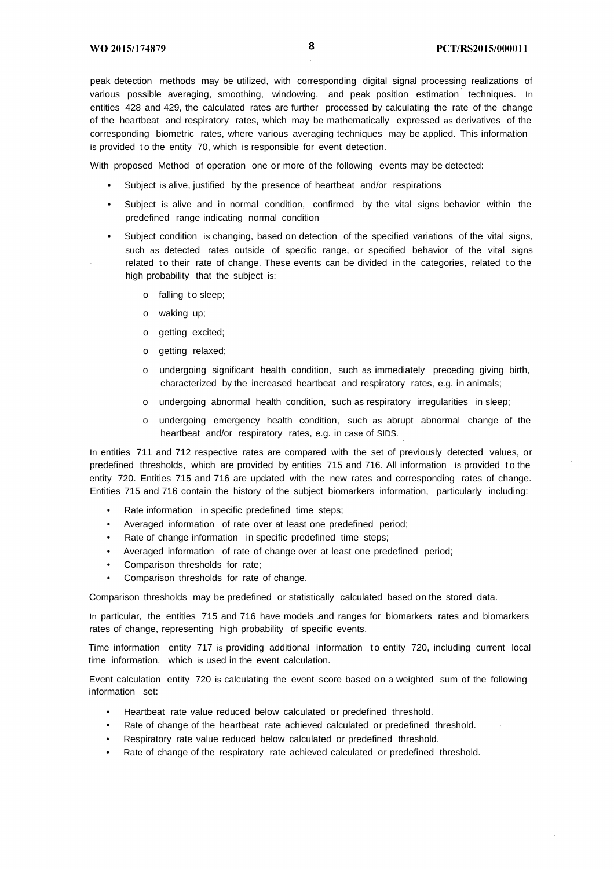peak detection methods may be utilized, with corresponding digital signal processing realizations of various possible averaging, smoothing, windowing, and peak position estimation techniques. In entities 428 and 429, the calculated rates are further processed by calculating the rate of the change of the heartbeat and respiratory rates, which may be mathematically expressed as derivatives of the corresponding biometric rates, where various averaging techniques may be applied. This information is provided to the entity 70, which is responsible for event detection.

With proposed Method of operation one or more of the following events may be detected:

- Subject is alive, justified by the presence of heartbeat and/or respirations
- Subject is alive and in normal condition, confirmed by the vital signs behavior within the predefined range indicating normal condition
- Subject condition is changing, based on detection of the specified variations of the vital signs, such as detected rates outside of specific range, or specified behavior of the vital signs related to their rate of change. These events can be divided in the categories, related to the high probability that the subject is:
	- o falling to sleep;
	- o waking up;
	- o getting excited;
	- o getting relaxed;
	- o undergoing significant health condition, such as immediately preceding giving birth, characterized by the increased heartbeat and respiratory rates, e.g. in animals;
	- o undergoing abnormal health condition, such as respiratory irregularities in sleep;
	- o undergoing emergency health condition, such as abrupt abnormal change of the heartbeat and/or respiratory rates, e.g. in case of SIDS.

In entities 711 and 712 respective rates are compared with the set of previously detected values, or predefined thresholds, which are provided by entities 715 and 716. All information is provided t o the entity 720. Entities 715 and 716 are updated with the new rates and corresponding rates of change. Entities 715 and 716 contain the history of the subject biomarkers information, particularly including:

- Rate information in specific predefined time steps;
- Averaged information of rate over at least one predefined period;
- Rate of change information in specific predefined time steps;
- Averaged information of rate of change over at least one predefined period;
- Comparison thresholds for rate;
- Comparison thresholds for rate of change.

Comparison thresholds may be predefined or statistically calculated based on the stored data.

In particular, the entities 715 and 716 have models and ranges for biomarkers rates and biomarkers rates of change, representing high probability of specific events.

Time information entity 717 is providing additional information to entity 720, including current local time information, which is used in the event calculation.

Event calculation entity 720 is calculating the event score based on a weighted sum of the following information set:

- Heartbeat rate value reduced below calculated or predefined threshold.
- Rate of change of the heartbeat rate achieved calculated or predefined threshold.
- Respiratory rate value reduced below calculated or predefined threshold.
- Rate of change of the respiratory rate achieved calculated or predefined threshold.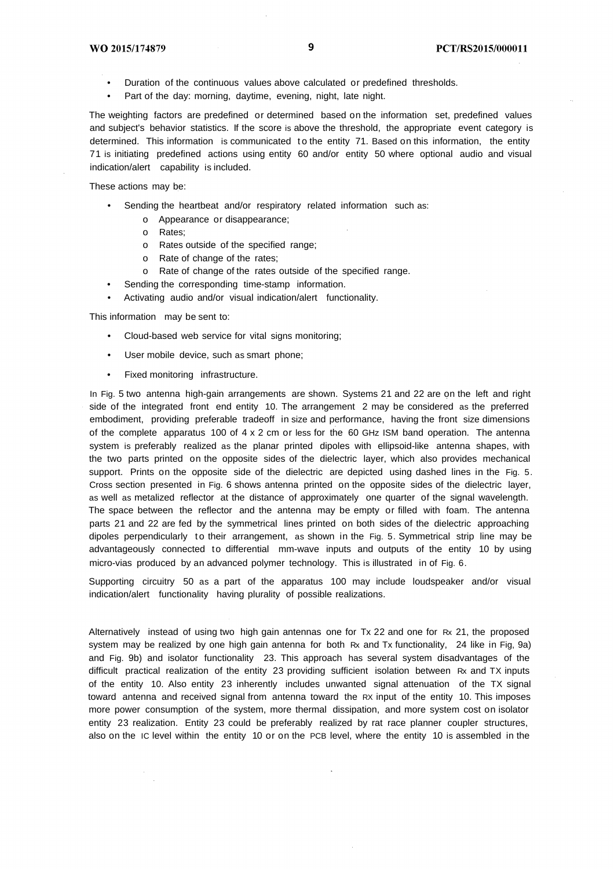- Duration of the continuous values above calculated or predefined thresholds.
- Part of the day: morning, daytime, evening, night, late night.

The weighting factors are predefined or determined based on the information set, predefined values and subject's behavior statistics. If the score is above the threshold, the appropriate event category is determined. This information is communicated to the entity 71. Based on this information, the entity 71 is initiating predefined actions using entity 60 and/or entity 50 where optional audio and visual indication/alert capability is included.

These actions may be:

- Sending the heartbeat and/or respiratory related information such as:
	- o Appearance or disappearance;
	- o Rates;
	- o Rates outside of the specified range;
	- o Rate of change of the rates;
	- o Rate of change of the rates outside of the specified range.
- Sending the corresponding time-stamp information.
- Activating audio and/or visual indication/alert functionality.

This information may be sent to:

- Cloud-based web service for vital signs monitoring;
- User mobile device, such as smart phone;
- Fixed monitoring infrastructure.

In Fig. 5 two antenna high-gain arrangements are shown. Systems 21 and 22 are on the left and right side of the integrated front end entity 10. The arrangement 2 may be considered as the preferred embodiment, providing preferable tradeoff in size and performance, having the front size dimensions of the complete apparatus 100 of  $4 \times 2$  cm or less for the 60 GHz ISM band operation. The antenna system is preferably realized as the planar printed dipoles with ellipsoid-like antenna shapes, with the two parts printed on the opposite sides of the dielectric layer, which also provides mechanical support. Prints on the opposite side of the dielectric are depicted using dashed lines in the Fig. 5. Cross section presented in Fig. 6 shows antenna printed on the opposite sides of the dielectric layer, as well as metalized reflector at the distance of approximately one quarter of the signal wavelength. The space between the reflector and the antenna may be empty or filled with foam. The antenna parts 21 and 22 are fed by the symmetrical lines printed on both sides of the dielectric approaching dipoles perpendicularly to their arrangement, as shown in the Fig. 5. Symmetrical strip line may be advantageously connected to differential mm-wave inputs and outputs of the entity 10 by using micro-vias produced by an advanced polymer technology. This is illustrated in of Fig. 6.

Supporting circuitry 50 as a part of the apparatus 100 may include loudspeaker and/or visual indication/alert functionality having plurality of possible realizations.

Alternatively instead of using two high gain antennas one for Tx 22 and one for Rx 21, the proposed system may be realized by one high gain antenna for both Rx and Tx functionality, 24 like in Fig, 9a) and Fig. 9b) and isolator functionality 23. This approach has several system disadvantages of the difficult practical realization of the entity 23 providing sufficient isolation between Rx and TX inputs of the entity 10. Also entity 23 inherently includes unwanted signal attenuation of the TX signal toward antenna and received signal from antenna toward the RX input of the entity 10. This imposes more power consumption of the system, more thermal dissipation, and more system cost on isolator entity 23 realization. Entity 23 could be preferably realized by rat race planner coupler structures, also on the IC level within the entity 10 or on the PCB level, where the entity 10 is assembled in the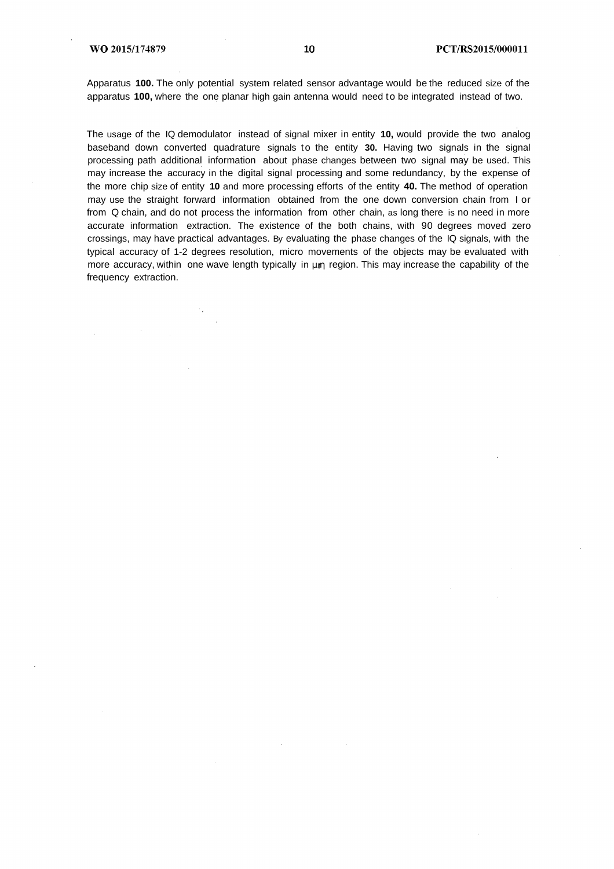Apparatus **100.** The only potential system related sensor advantage would be the reduced size of the apparatus **100,** where the one planar high gain antenna would need to be integrated instead of two.

The usage of the IQ demodulator instead of signal mixer in entity **10,** would provide the two analog baseband down converted quadrature signals to the entity **30.** Having two signals in the signal processing path additional information about phase changes between two signal may be used. This may increase the accuracy in the digital signal processing and some redundancy, by the expense of the more chip size of entity **10** and more processing efforts of the entity **40.** The method of operation may use the straight forward information obtained from the one down conversion chain from I or from Q chain, and do not process the information from other chain, as long there is no need in more accurate information extraction. The existence of the both chains, with 90 degrees moved zero crossings, may have practical advantages. By evaluating the phase changes of the IQ signals, with the typical accuracy of 1-2 degrees resolution, micro movements of the objects may be evaluated with more accuracy, within one wave length typically in μm region. This may increase the capability of the frequency extraction.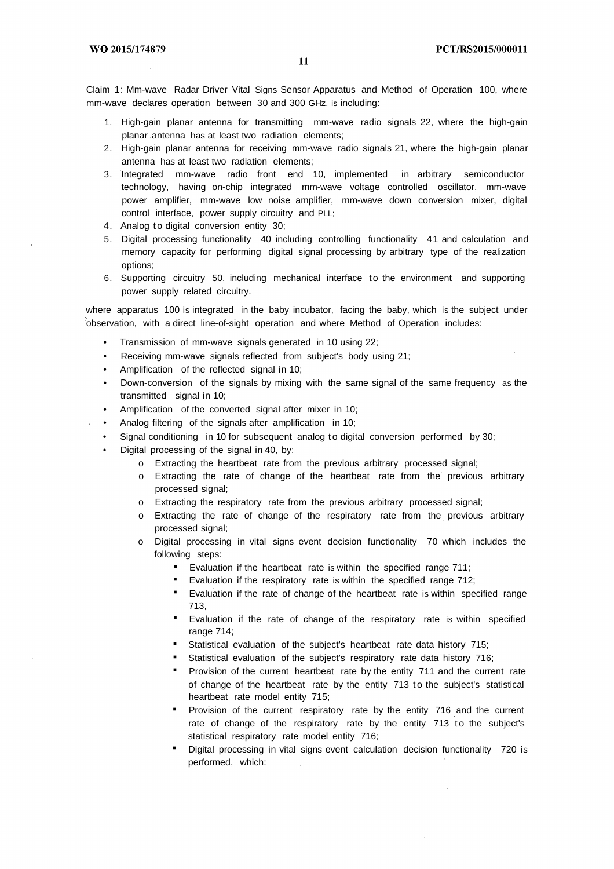11

Claim 1: Mm-wave Radar Driver Vital Signs Sensor Apparatus and Method of Operation 100, where mm-wave declares operation between 30 and 300 GHz, is including:

- 1. High-gain planar antenna for transmitting mm-wave radio signals 22, where the high-gain planar antenna has at least two radiation elements;
- 2. High-gain planar antenna for receiving mm-wave radio signals 21, where the high-gain planar antenna has at least two radiation elements;
- 3. Integrated mm-wave radio front end 10, implemented in arbitrary semiconductor technology, having on-chip integrated mm-wave voltage controlled oscillator, mm-wave power amplifier, mm-wave low noise amplifier, mm-wave down conversion mixer, digital control interface, power supply circuitry and PLL;
- 4. Analog to digital conversion entity 30;
- 5. Digital processing functionality 40 including controlling functionality 41 and calculation and memory capacity for performing digital signal processing by arbitrary type of the realization options;
- 6. Supporting circuitry 50, including mechanical interface to the environment and supporting power supply related circuitry.

where apparatus 100 is integrated in the baby incubator, facing the baby, which is the subject under observation, with a direct line-of-sight operation and where Method of Operation includes:

- Transmission of mm-wave signals generated in 10 using 22;
- Receiving mm-wave signals reflected from subject's body using 21;
- Amplification of the reflected signal in 10;
- Down-conversion of the signals by mixing with the same signal of the same frequency as the transmitted signal in 10;
- Amplification of the converted signal after mixer in 10;
- Analog filtering of the signals after amplification in 10;
- Signal conditioning in 10 for subsequent analog to digital conversion performed by 30;
- Digital processing of the signal in 40, by:
	- o Extracting the heartbeat rate from the previous arbitrary processed signal;
	- o Extracting the rate of change of the heartbeat rate from the previous arbitrary processed signal;
	- o Extracting the respiratory rate from the previous arbitrary processed signal;
	- o Extracting the rate of change of the respiratory rate from the previous arbitrary processed signal;
	- o Digital processing in vital signs event decision functionality 70 which includes the following steps:
		- Evaluation if the heartbeat rate is within the specified range 711;
		- Evaluation if the respiratory rate is within the specified range 712;
		- Evaluation if the rate of change of the heartbeat rate is within specified range 713,
		- Evaluation if the rate of change of the respiratory rate is within specified range 714:
		- Statistical evaluation of the subject's heartbeat rate data history 715;
		- Statistical evaluation of the subject's respiratory rate data history 716;
		- Provision of the current heartbeat rate by the entity 711 and the current rate of change of the heartbeat rate by the entity 713 to the subject's statistical heartbeat rate model entity 715;
		- Provision of the current respiratory rate by the entity 716 and the current rate of change of the respiratory rate by the entity 713 to the subject's statistical respiratory rate model entity 716;
		- Digital processing in vital signs event calculation decision functionality 720 is performed, which: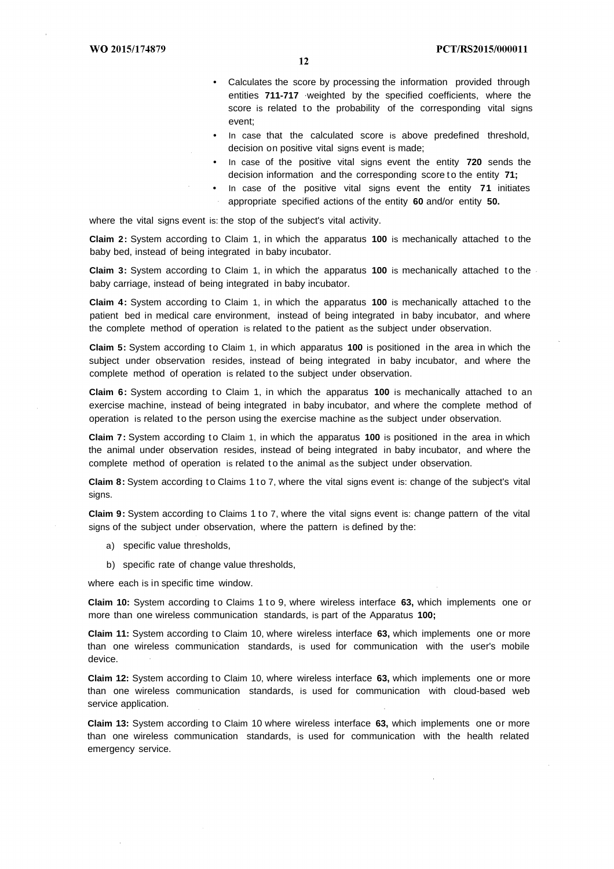- Calculates the score by processing the information provided through entities **711-717** weighted by the specified coefficients, where the score is related to the probability of the corresponding vital signs event;
- In case that the calculated score is above predefined threshold, decision on positive vital signs event is made;
- In case of the positive vital signs event the entity **720** sends the decision information and the corresponding score to the entity **71;**
- In case of the positive vital signs event the entity **71** initiates appropriate specified actions of the entity **60** and/or entity **50.**

where the vital signs event is: the stop of the subject's vital activity.

**Claim 2:** System according to Claim 1, in which the apparatus **100** is mechanically attached to the baby bed, instead of being integrated in baby incubator.

**Claim 3:** System according to Claim 1, in which the apparatus **100** is mechanically attached to the baby carriage, instead of being integrated in baby incubator.

**Claim 4:** System according to Claim 1, in which the apparatus **100** is mechanically attached to the patient bed in medical care environment, instead of being integrated in baby incubator, and where the complete method of operation is related to the patient as the subject under observation.

**Claim 5:** System according to Claim 1, in which apparatus **100** is positioned in the area in which the subject under observation resides, instead of being integrated in baby incubator, and where the complete method of operation is related to the subject under observation.

**Claim 6:** System according to Claim 1, in which the apparatus **100** is mechanically attached to an exercise machine, instead of being integrated in baby incubator, and where the complete method of operation is related to the person using the exercise machine as the subject under observation.

**Claim 7:** System according to Claim 1, in which the apparatus **100** is positioned in the area in which the animal under observation resides, instead of being integrated in baby incubator, and where the complete method of operation is related t o the animal as the subject under observation.

**Claim 8:** System according to Claims 1 to 7, where the vital signs event is: change of the subject's vital sians.

**Claim 9:** System according to Claims 1 to 7, where the vital signs event is: change pattern of the vital signs of the subject under observation, where the pattern is defined by the:

- a) specific value thresholds,
- b) specific rate of change value thresholds,

where each is in specific time window.

**Claim 10:** System according to Claims 1 to 9, where wireless interface **63,** which implements one or more than one wireless communication standards, is part of the Apparatus **100;**

**Claim 11:** System according to Claim 10, where wireless interface **63,** which implements one or more than one wireless communication standards, is used for communication with the user's mobile device.

**Claim 12:** System according to Claim 10, where wireless interface **63,** which implements one or more than one wireless communication standards, is used for communication with cloud-based web service application.

**Claim 13:** System according to Claim 10 where wireless interface **63,** which implements one or more than one wireless communication standards, is used for communication with the health related emergency service.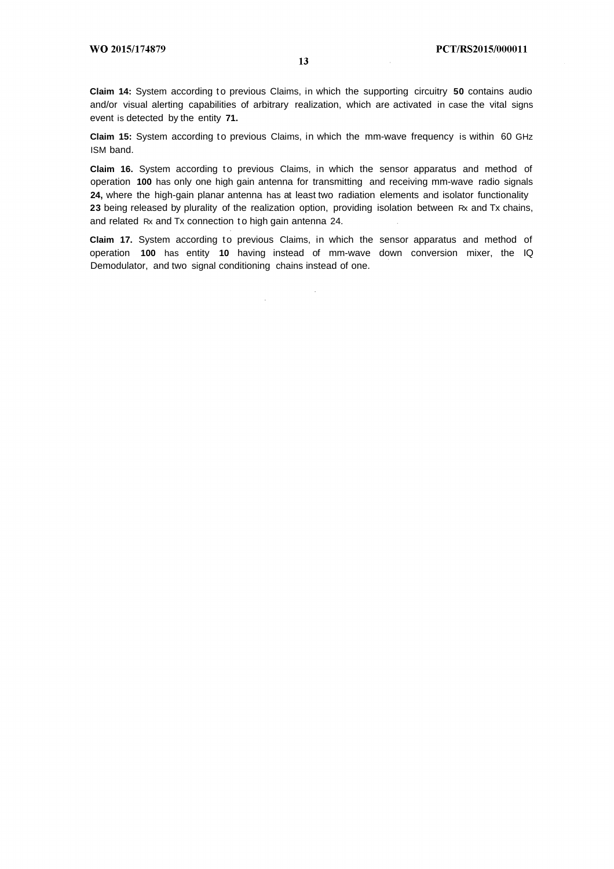**Claim 14:** System according to previous Claims, in which the supporting circuitry **50** contains audio and/or visual alerting capabilities of arbitrary realization, which are activated in case the vital signs event is detected by the entity **71.**

**Claim 15:** System according to previous Claims, in which the mm-wave frequency is within 60 GHz ISM band.

**Claim 16.** System according to previous Claims, in which the sensor apparatus and method of operation **100** has only one high gain antenna for transmitting and receiving mm-wave radio signals **24,** where the high-gain planar antenna has at least two radiation elements and isolator functionality **23** being released by plurality of the realization option, providing isolation between Rx and Tx chains, and related Rx and Tx connection to high gain antenna 24.

**Claim 17.** System according to previous Claims, in which the sensor apparatus and method of operation **100** has entity **10** having instead of mm-wave down conversion mixer, the IQ Demodulator, and two signal conditioning chains instead of one.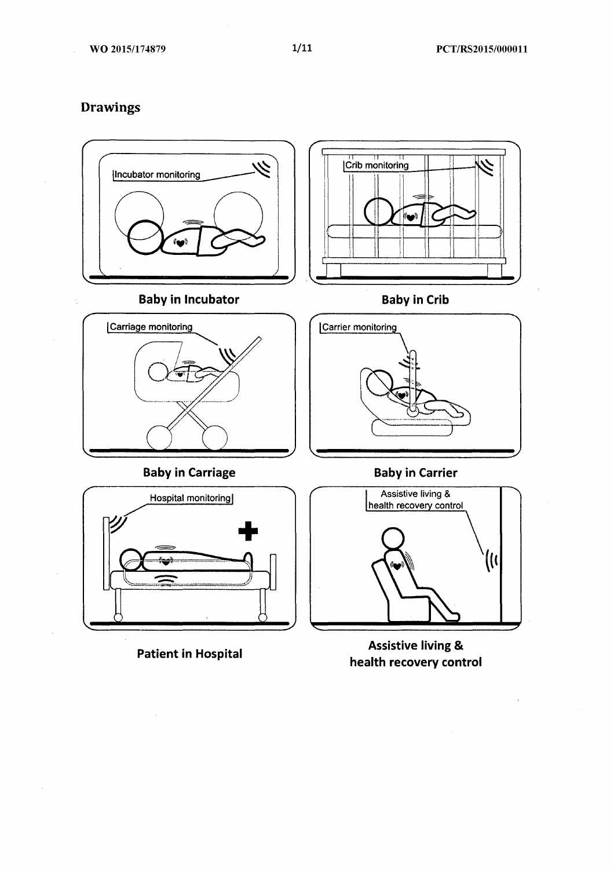**Drawings** 



**Patient in Hospital** 

**Assistive living &** health recovery control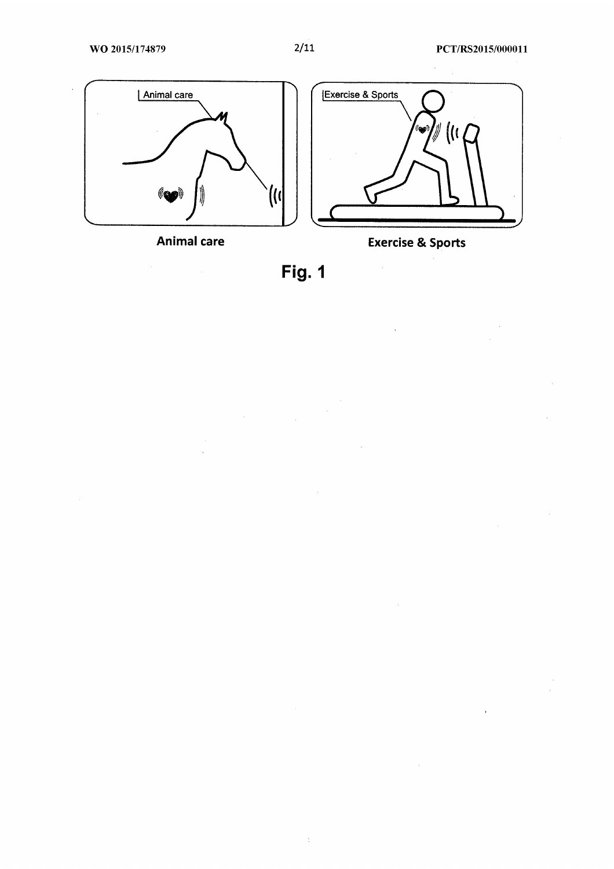$\overline{\phantom{a}}$ 



**Animal care** 



 $\hat{\mathcal{L}}$ 



 $\hat{\mathbb{C}}$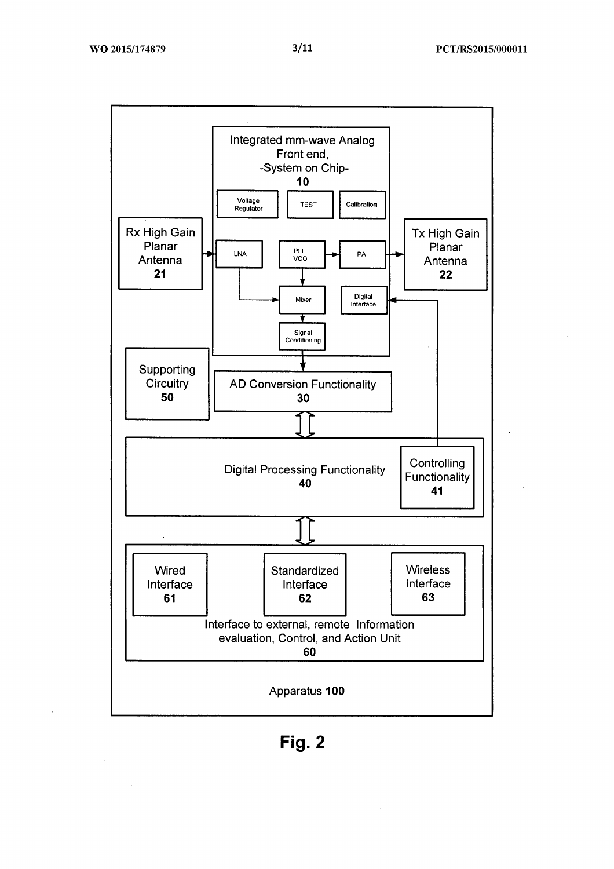$\bar{z}$ 



Fig. 2

 $\mathcal{L}_{\mathcal{L}}$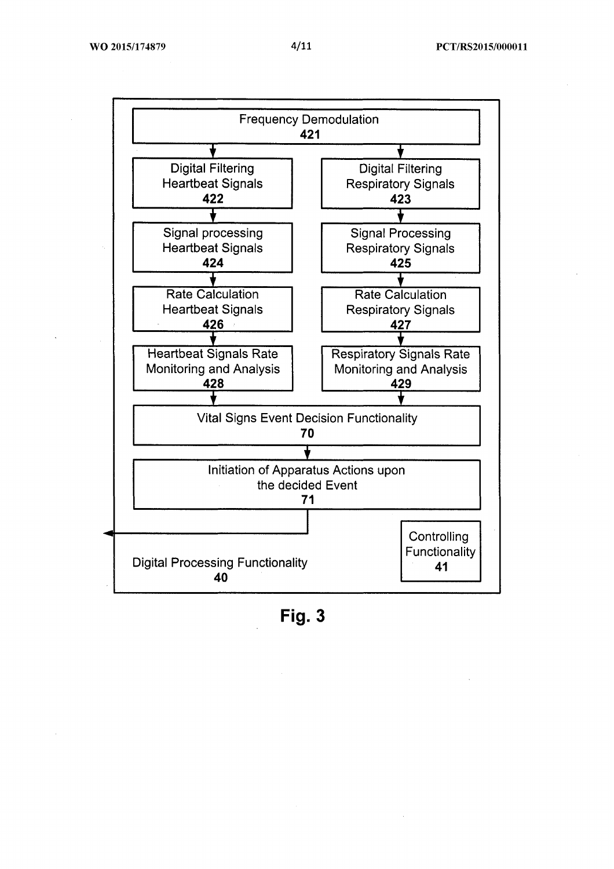

Fig. 3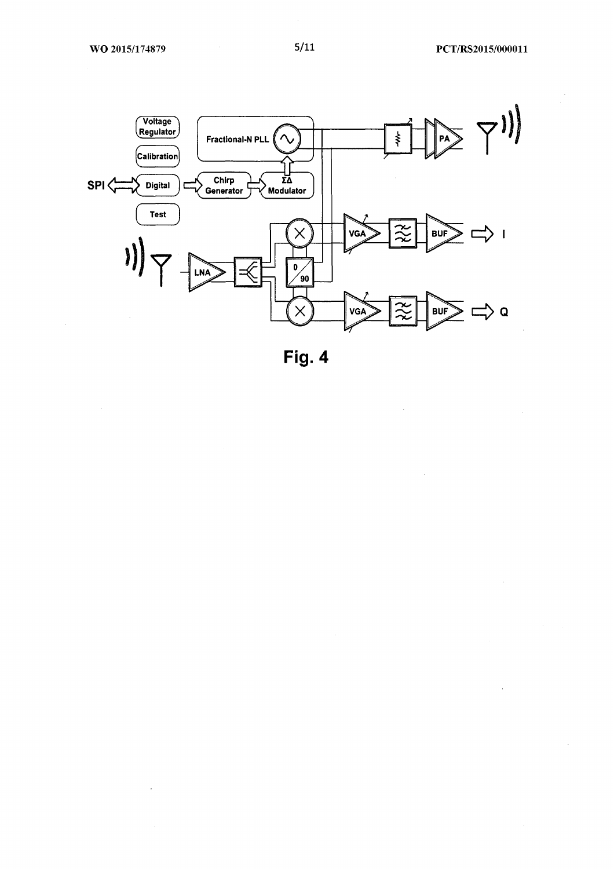$\bar{z}$ 

 $\mathcal{L}$ 

 $\ddot{\phantom{a}}$ 

 $\hat{\boldsymbol{\beta}}$ 



Fig. 4

 $\hat{\mathcal{A}}$ 

 $\bar{z}$ 

 $\bar{z}$ 

 $\mathbb{R}^2$ 

 $\sim$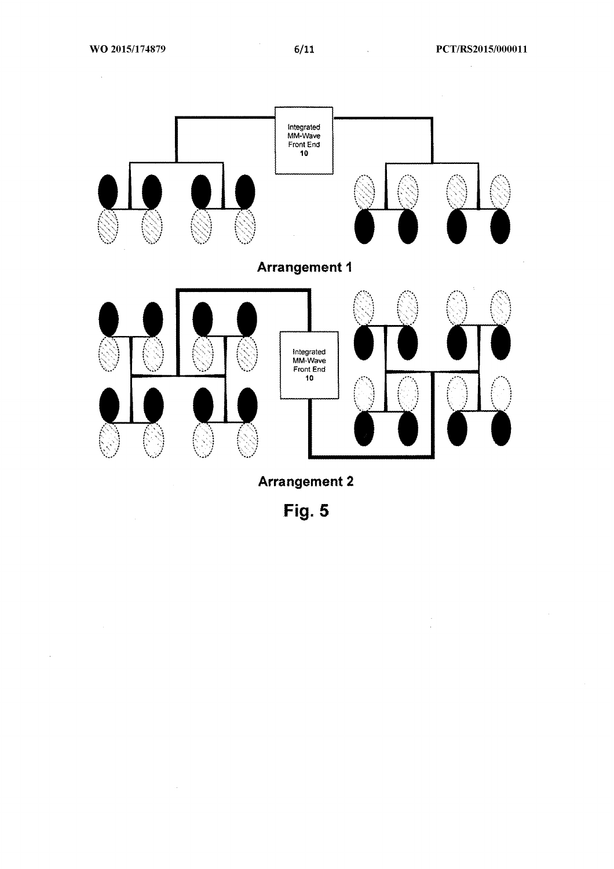$\sim$   $\sim$ 

 $\bar{\lambda}$ 

 $\sim 10^7$ 

 $\hat{\mathcal{A}}$ 

 $\frac{1}{2}$ 



Fig. 5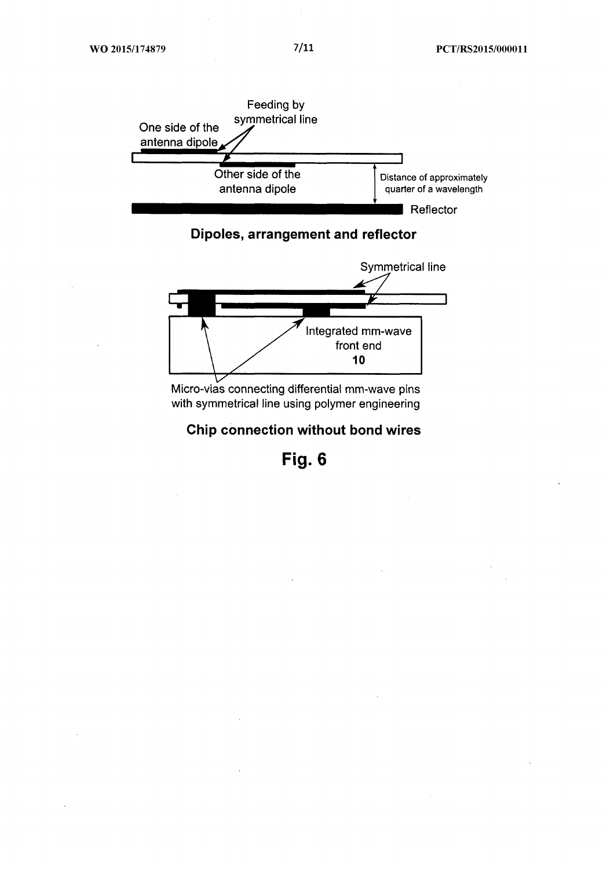

Dipoles, arrangement and reflector



Micro-vias connecting differential mm-wave pins with symmetrical line using polymer engineering

Chip connection without bond wires

Fig. 6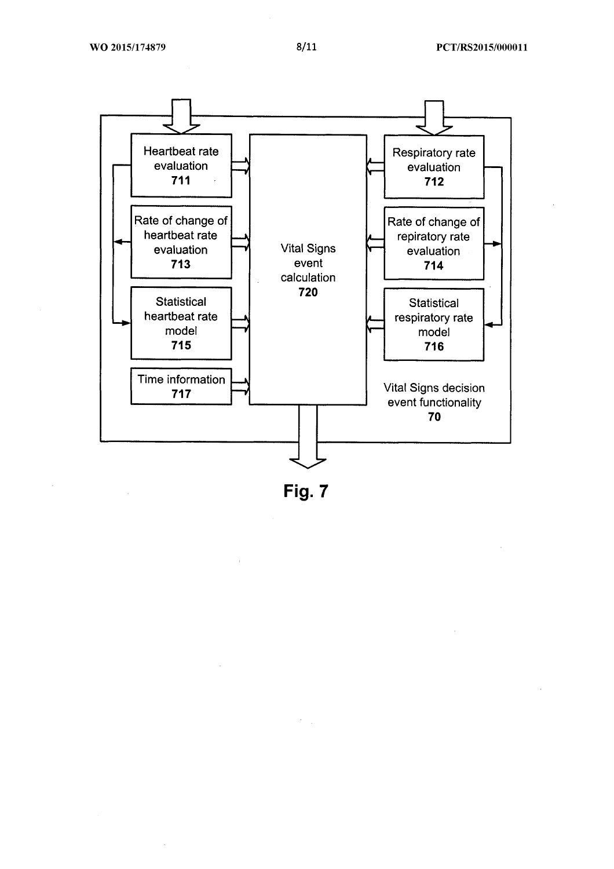

Fig. 7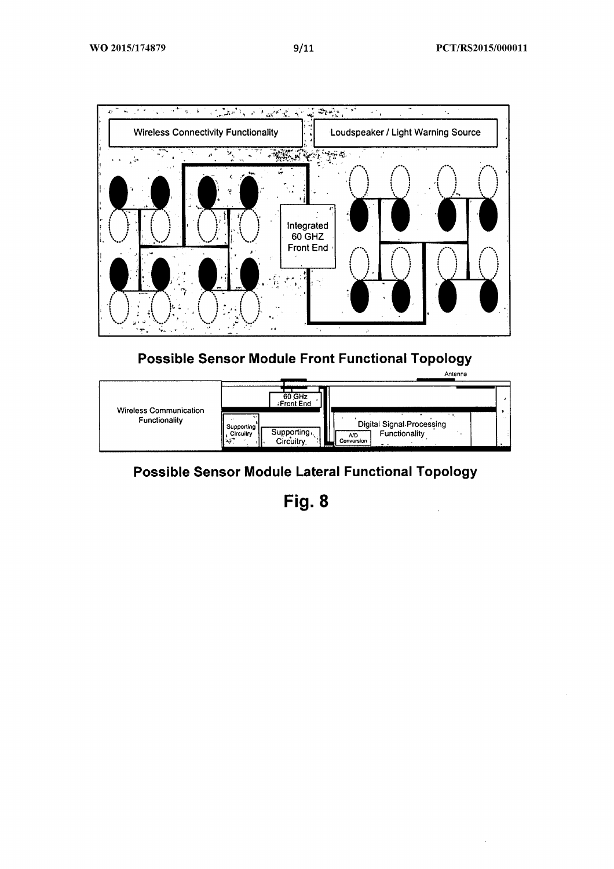

### **Possible Sensor Module Front Functional Topology**



## **Possible Sensor Module Lateral Functional Topology**

Fig. 8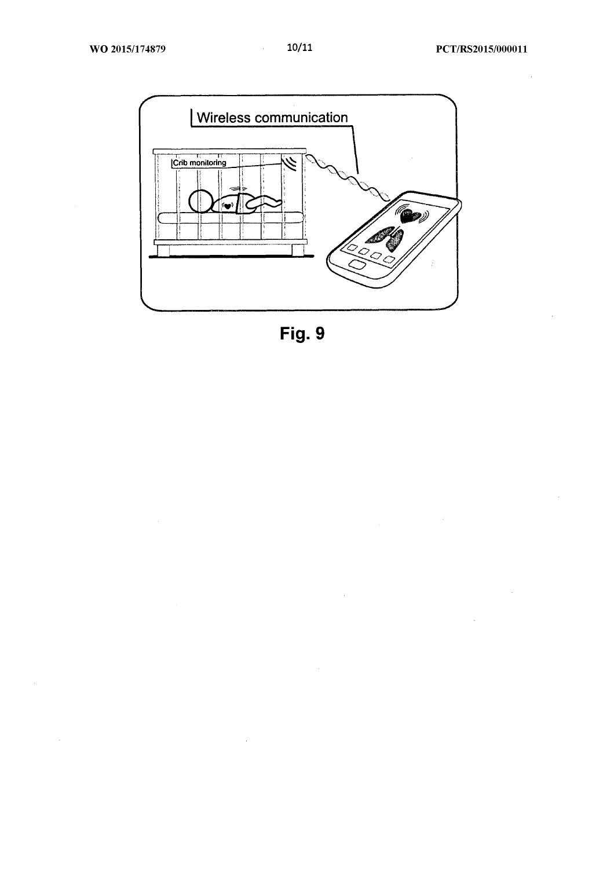$\hat{\mathcal{A}}$ 

 $\bar{z}$ 

 $\bar{z}$ 



Fig. 9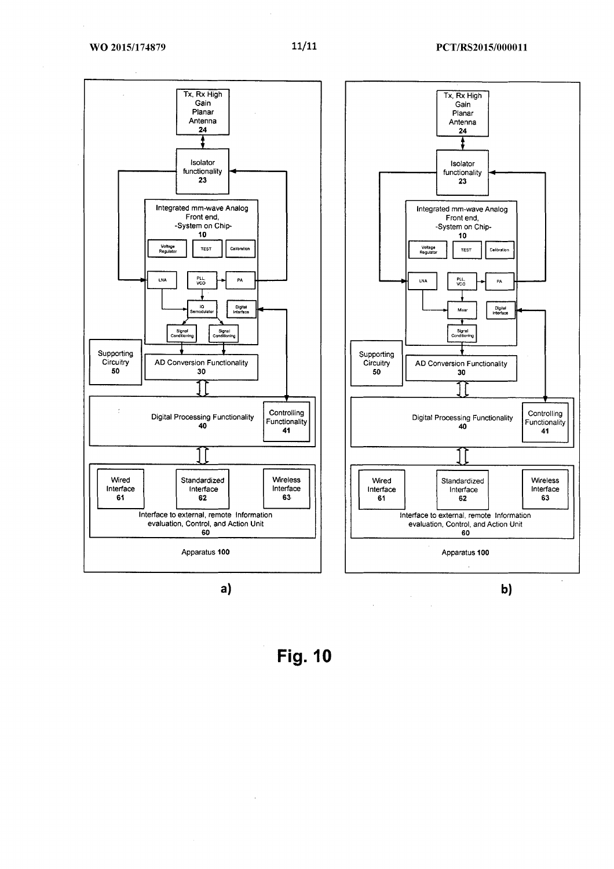

 $a)$ 

 $\overline{\phantom{a}}$ 

**Fig. 10** 

 $\hat{\mathcal{A}}$ 

 $\hat{\mathcal{A}}$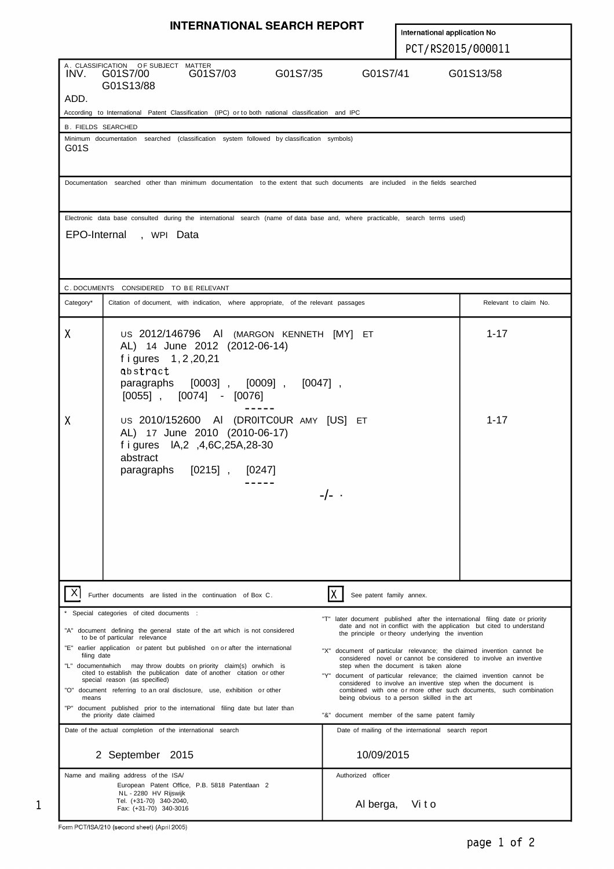|                                                                                                                                                                                                                                                                                                                                                                                                                                                                                                                                                                                                                                                                                                                                                                                                                                                                                                                                                                                                                                                                                                                                                                                                                                                                                                                                                                                                                                                                                                             | <b>INTERNATIONAL SEARCH REPORT</b>                                                                                                                                                       |                                      |                              |                       |  |  |  |  |  |
|-------------------------------------------------------------------------------------------------------------------------------------------------------------------------------------------------------------------------------------------------------------------------------------------------------------------------------------------------------------------------------------------------------------------------------------------------------------------------------------------------------------------------------------------------------------------------------------------------------------------------------------------------------------------------------------------------------------------------------------------------------------------------------------------------------------------------------------------------------------------------------------------------------------------------------------------------------------------------------------------------------------------------------------------------------------------------------------------------------------------------------------------------------------------------------------------------------------------------------------------------------------------------------------------------------------------------------------------------------------------------------------------------------------------------------------------------------------------------------------------------------------|------------------------------------------------------------------------------------------------------------------------------------------------------------------------------------------|--------------------------------------|------------------------------|-----------------------|--|--|--|--|--|
|                                                                                                                                                                                                                                                                                                                                                                                                                                                                                                                                                                                                                                                                                                                                                                                                                                                                                                                                                                                                                                                                                                                                                                                                                                                                                                                                                                                                                                                                                                             |                                                                                                                                                                                          |                                      | International application No |                       |  |  |  |  |  |
|                                                                                                                                                                                                                                                                                                                                                                                                                                                                                                                                                                                                                                                                                                                                                                                                                                                                                                                                                                                                                                                                                                                                                                                                                                                                                                                                                                                                                                                                                                             |                                                                                                                                                                                          | PCT/RS2015/000011                    |                              |                       |  |  |  |  |  |
| INV.                                                                                                                                                                                                                                                                                                                                                                                                                                                                                                                                                                                                                                                                                                                                                                                                                                                                                                                                                                                                                                                                                                                                                                                                                                                                                                                                                                                                                                                                                                        | A. CLASSIFICATION OF SUBJECT MATTER<br>G01S7/00<br>G01S7/03<br>G01S7/35<br>G01S13/88                                                                                                     | G01S7/41                             | G01S13/58                    |                       |  |  |  |  |  |
| ADD.                                                                                                                                                                                                                                                                                                                                                                                                                                                                                                                                                                                                                                                                                                                                                                                                                                                                                                                                                                                                                                                                                                                                                                                                                                                                                                                                                                                                                                                                                                        |                                                                                                                                                                                          |                                      |                              |                       |  |  |  |  |  |
|                                                                                                                                                                                                                                                                                                                                                                                                                                                                                                                                                                                                                                                                                                                                                                                                                                                                                                                                                                                                                                                                                                                                                                                                                                                                                                                                                                                                                                                                                                             | According to International Patent Classification (IPC) or to both national classification and IPC                                                                                        |                                      |                              |                       |  |  |  |  |  |
| <b>B. FIELDS SEARCHED</b><br>Minimum documentation searched (classification system followed by classification symbols)<br>G01S                                                                                                                                                                                                                                                                                                                                                                                                                                                                                                                                                                                                                                                                                                                                                                                                                                                                                                                                                                                                                                                                                                                                                                                                                                                                                                                                                                              |                                                                                                                                                                                          |                                      |                              |                       |  |  |  |  |  |
|                                                                                                                                                                                                                                                                                                                                                                                                                                                                                                                                                                                                                                                                                                                                                                                                                                                                                                                                                                                                                                                                                                                                                                                                                                                                                                                                                                                                                                                                                                             | Documentation searched other than minimum documentation to the extent that such documents are included in the fields searched                                                            |                                      |                              |                       |  |  |  |  |  |
|                                                                                                                                                                                                                                                                                                                                                                                                                                                                                                                                                                                                                                                                                                                                                                                                                                                                                                                                                                                                                                                                                                                                                                                                                                                                                                                                                                                                                                                                                                             | Electronic data base consulted during the international search (name of data base and, where practicable, search terms used)                                                             |                                      |                              |                       |  |  |  |  |  |
| EPO-Internal , WPI Data                                                                                                                                                                                                                                                                                                                                                                                                                                                                                                                                                                                                                                                                                                                                                                                                                                                                                                                                                                                                                                                                                                                                                                                                                                                                                                                                                                                                                                                                                     |                                                                                                                                                                                          |                                      |                              |                       |  |  |  |  |  |
|                                                                                                                                                                                                                                                                                                                                                                                                                                                                                                                                                                                                                                                                                                                                                                                                                                                                                                                                                                                                                                                                                                                                                                                                                                                                                                                                                                                                                                                                                                             | C. DOCUMENTS CONSIDERED TO BE RELEVANT                                                                                                                                                   |                                      |                              |                       |  |  |  |  |  |
| Category*                                                                                                                                                                                                                                                                                                                                                                                                                                                                                                                                                                                                                                                                                                                                                                                                                                                                                                                                                                                                                                                                                                                                                                                                                                                                                                                                                                                                                                                                                                   | Citation of document, with indication, where appropriate, of the relevant passages                                                                                                       |                                      |                              | Relevant to claim No. |  |  |  |  |  |
| X                                                                                                                                                                                                                                                                                                                                                                                                                                                                                                                                                                                                                                                                                                                                                                                                                                                                                                                                                                                                                                                                                                                                                                                                                                                                                                                                                                                                                                                                                                           | US 2012/146796 AI (MARGON KENNETH [MY] ET<br>AL) 14 June 2012 (2012-06-14)<br>f i gures 1, 2, 20, 21<br>abstract<br>paragraphs [0003], [0009], [0047],<br>$[0055]$ , $[0074]$ - $[0076]$ |                                      |                              | $1 - 17$              |  |  |  |  |  |
| X                                                                                                                                                                                                                                                                                                                                                                                                                                                                                                                                                                                                                                                                                                                                                                                                                                                                                                                                                                                                                                                                                                                                                                                                                                                                                                                                                                                                                                                                                                           | US 2010/152600 AI (DR0ITC0UR AMY [US] ET<br>AL) 17 June 2010 (2010-06-17)<br>f i gures IA, 2, 4, 6C, 25A, 28-30<br>abstract<br>paragraphs [0215], [0247]                                 | $-/-$ .                              |                              | $1 - 17$              |  |  |  |  |  |
|                                                                                                                                                                                                                                                                                                                                                                                                                                                                                                                                                                                                                                                                                                                                                                                                                                                                                                                                                                                                                                                                                                                                                                                                                                                                                                                                                                                                                                                                                                             | Further documents are listed in the continuation of Box C.                                                                                                                               | See patent family annex.             |                              |                       |  |  |  |  |  |
| Special categories of cited documents :<br>"T" later document published after the international filing date or priority<br>date and not in conflict with the application but cited to understand<br>"A" document defining the general state of the art which is not considered<br>the principle or theory underlying the invention<br>to be of particular relevance<br>"E" earlier application or patent but published on or after the international<br>"X" document of particular relevance; the claimed invention cannot be<br>filing date<br>considered novel or cannot be considered to involve an inventive<br>"L" documentwhich may throw doubts on priority claim(s) orwhich is<br>step when the document is taken alone<br>cited to establish the publication date of another citation or other<br>"Y" document of particular relevance; the claimed invention cannot be<br>special reason (as specified)<br>considered to involve an inventive step when the document is<br>"O" document referring to an oral disclosure, use, exhibition or other<br>combined with one or more other such documents, such combination<br>being obvious to a person skilled in the art<br>means<br>"P" document published prior to the international filing date but later than<br>the priority date claimed<br>"&" document member of the same patent family<br>Date of the actual completion of the international search<br>Date of mailing of the international search report<br>10/09/2015<br>2 September 2015 |                                                                                                                                                                                          |                                      |                              |                       |  |  |  |  |  |
|                                                                                                                                                                                                                                                                                                                                                                                                                                                                                                                                                                                                                                                                                                                                                                                                                                                                                                                                                                                                                                                                                                                                                                                                                                                                                                                                                                                                                                                                                                             |                                                                                                                                                                                          |                                      |                              |                       |  |  |  |  |  |
|                                                                                                                                                                                                                                                                                                                                                                                                                                                                                                                                                                                                                                                                                                                                                                                                                                                                                                                                                                                                                                                                                                                                                                                                                                                                                                                                                                                                                                                                                                             | Name and mailing address of the ISA/<br>European Patent Office, P.B. 5818 Patentlaan 2<br>NL - 2280 HV Rijswijk<br>Tel. (+31-70) 340-2040,<br>Fax: (+31-70) 340-3016                     | Authorized officer<br>Al berga, Vito |                              |                       |  |  |  |  |  |

 $\mathbf 1$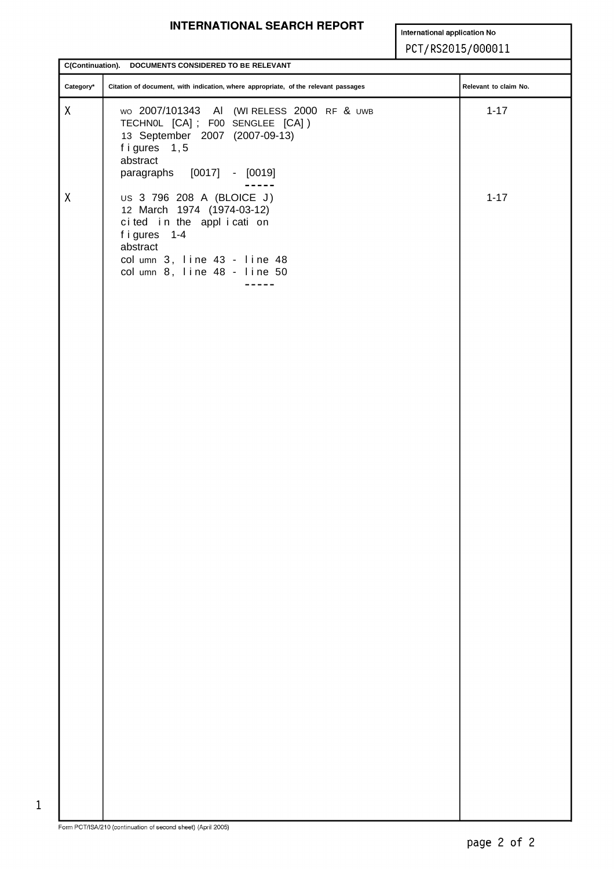#### **INTERNATIONAL SEARCH REPORT**

International application No

#### PCT/RS2015/000011

| $\text{Category}^*$<br>Citation of document, with indication, where appropriate, of the relevant passages<br>Relevant to claim No.                                                                         |  |
|------------------------------------------------------------------------------------------------------------------------------------------------------------------------------------------------------------|--|
|                                                                                                                                                                                                            |  |
| $\pmb{\mathsf{X}}$<br>$1 - 17$<br>wo 2007/101343 AI (WIRELESS 2000 RF & UWB<br>TECHNOL [CA]; FOO SENGLEE [CA])<br>13 September 2007 (2007-09-13)<br>figures 1,5<br>abstract<br>paragraphs [0017] - [0019]  |  |
| $\pmb{\chi}$<br>US 3 796 208 A (BLOICE J)<br>$1 - 17$<br>12 March 1974 (1974-03-12)<br>cited in the application<br>figures 1-4<br>abstract<br>col umn 3, line 43 - line 48<br>col umn 8, line 48 - line 50 |  |